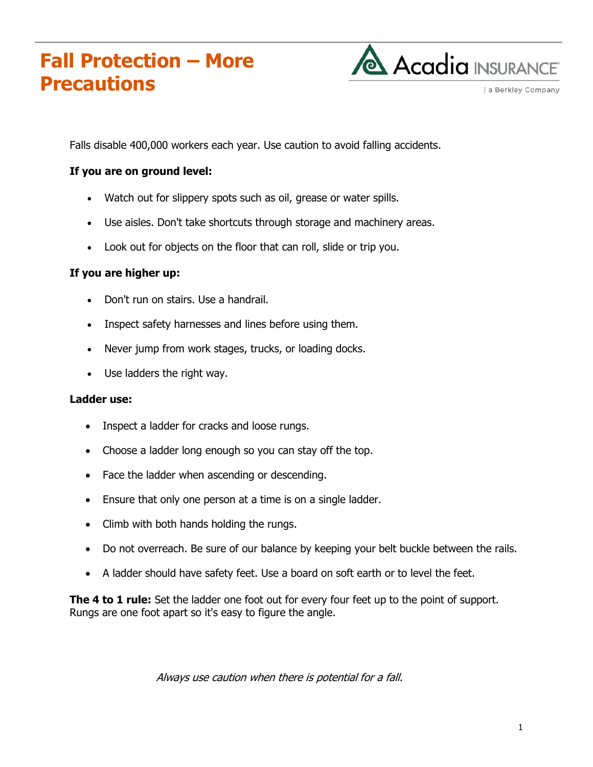# **Fall Protection – More Precautions**



a Berkley Company

Falls disable 400,000 workers each year. Use caution to avoid falling accidents.

### **If you are on ground level:**

- Watch out for slippery spots such as oil, grease or water spills.
- Use aisles. Don't take shortcuts through storage and machinery areas.
- Look out for objects on the floor that can roll, slide or trip you.

#### **If you are higher up:**

- Don't run on stairs. Use a handrail.
- Inspect safety harnesses and lines before using them.
- Never jump from work stages, trucks, or loading docks.
- Use ladders the right way.

#### **Ladder use:**

- Inspect a ladder for cracks and loose rungs.
- Choose a ladder long enough so you can stay off the top.
- Face the ladder when ascending or descending.
- Ensure that only one person at a time is on a single ladder.
- Climb with both hands holding the rungs.
- Do not overreach. Be sure of our balance by keeping your belt buckle between the rails.
- A ladder should have safety feet. Use a board on soft earth or to level the feet.

**The 4 to 1 rule:** Set the ladder one foot out for every four feet up to the point of support. Rungs are one foot apart so it's easy to figure the angle.

Always use caution when there is potential for a fall.